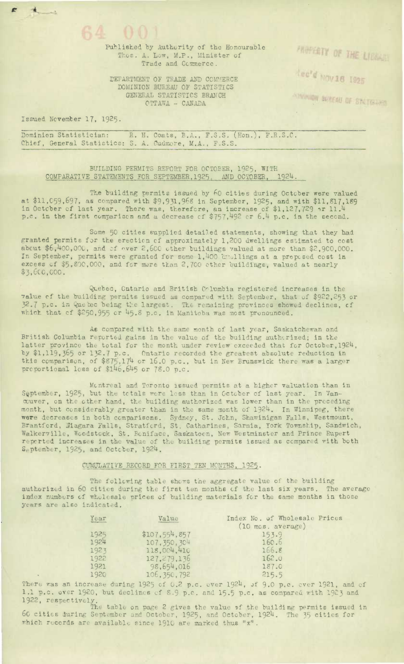Published by Authority of the Honourable Thos. A. Low, M.P., Minister of Trade and Commerce.

DEPARTMENT OF TRADE AND COMMERCE DOMINION BUREAU OF STATISTICS GENERAL STATISTICS BRANCH  $OTTAWA - CANADA$ 

FROMERTY OF THE LIBBARY

fec'd NOV16 1925

ACTUALIZED OF STATISTICS.

Issued Ncvember 17, 1925.

 $\mathbf{r}$ 

 $\begin{picture}(20,20) \put(0,0){\vector(1,0){100}} \put(15,0){\vector(1,0){100}} \put(15,0){\vector(1,0){100}} \put(15,0){\vector(1,0){100}} \put(15,0){\vector(1,0){100}} \put(15,0){\vector(1,0){100}} \put(15,0){\vector(1,0){100}} \put(15,0){\vector(1,0){100}} \put(15,0){\vector(1,0){100}} \put(15,0){\vector(1,0){100}} \put(15,0){\vector(1,0){100}} \$ 

Dominion Statistician: R. H. Coats, B.A., F.S.S. (Hon.), F.R.S.C. Chief, General Statistics: S. A. Cudmore, M.A., F.S.S.

64 001

BUILDING PERMITS REPORT FOR OCTOBER, 1925, WITH COMPARATIVE STATEMENTS FOR SEPTEMBER, 1925, AND OCTOBER, 1924.

The building permits issued by 60 cities during October were valued at \$11, 059, 697, as compared with \$9, 931, 968 in September, 1925, and with \$11, 817, 189 in Octcber of last year. There was, therefore, an increase of \$1,127,729 **Ir** 11)4 p.c. in the first comparison and a decrease cf \$757,492 or 6.14 p.c. **In** the second.

Some 50 citIes supplied detailed statements, showing that they had granted permits for the erection of approximately 1,200 dwellings estimated to cost abcut  $$6,400,000$ , and cf over 2,600 other buildings valued at more than  $$2,900,000$ . In September, permits were granted for some 1,400 drallings at a proposed cost in **excess** of \$5,8'0,000, and for more than 2,700 other 'ouildings, valued at nearly \$3, 6cc , coo

tebec, Ontario and British C"lumbia registered increases **In** the value of the building permits issued as compared with September, that of \$922,253 or 32.7 p.c. in Quebec being the largest. The remaining provinces showed declines, cf which that cf \$250,955 or 45.8 p.c. in Manitoba was most pronounced.

As compared with the same month of last year, Saskatchewan and British Columbia reported gains in the value of the building autherized; in the latter province the total for the month under review exceeded that for October, 1924, by \$1,119,365 or 132.7 p.c. Ontario recorded the greatest absolute reduction in this comparison, of  $$875,174$  or 16.0 p.c., but in New Brunswick there was a larger preportional loss of \$146,645 or 78.0 p.c.

Montreal and Toronto issued permits at a higher valuation than in September, 1925, but the totals were loss than in October of last year. In Vanuver, on the other hand, the building authorized was lower than in the preceding month, but considerably greater than in the same month of 1924. In Winnipeg, there **were** decreases **in** both comparisons. Sydney, St. John, Shawinigan FallS, Westmount, Brantford, Hiagara Falls, Stratford, St. Catharines, Sarnia, York Township, Sandwich, Walkerville, Woodstock, St. Beniface, Saskatoen, New Westminster and Prince Rupert reported increases in the value of the building permits issued as ccmpared with both September, 1925, and Octcber, 1924.

CUMUlATIVE RECORD FOR FIRST TEN MONTHS, 1925.

The following table shows the aggregate value of the building authorized in 60 cities during the first ten months of the last six years. The average index numbers of wholesale prices of building materials for the same months in those years are also indicated.

| Year | Value         | Index No. of Wholesale Prices<br>$(10 \text{ mos. average})$ |
|------|---------------|--------------------------------------------------------------|
| 1925 | \$107,554,857 | 153.9                                                        |
| 1924 | 107, 350, 304 | 160.6                                                        |
| 1923 | 118,004.410   | 166.8                                                        |
| 1922 | 127, 279, 136 | 162.0                                                        |
| 1921 | 98,654.016    | 187.0                                                        |
| 1920 | 106, 350, 792 | 215.5                                                        |

There was an increase during 1925 of 0.2 p.c. ever  $1924$ , of 9.0 p.c. ever 1921, and of 1.1 p.c. over 1920, but declines of 8.9 p.c. and 15.5 p.c. as compared with 1923 and 1922, respectively.

The table on page 2 gives the value vf the building permits issued in 60 cities iuring September and October, 1925, and October, 1924. The 35 cities for which records are available since 1910 are marked thus  $''x''$ .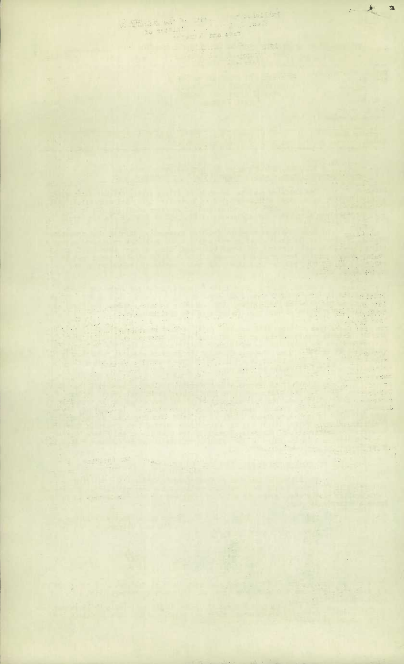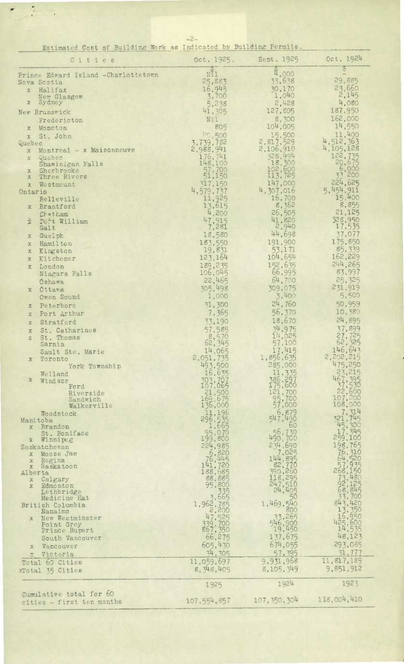| $\mathbf{r}$ |  |
|--------------|--|
|              |  |

Estimated Cost of Building Work as Indicated by Building Permits.

**0** 

 $\sim$   $\sim$ 

| $C$ it ies                                                | Oct. 1925.                                     | Sept. 1925                | Oct. 1924                                                                   |
|-----------------------------------------------------------|------------------------------------------------|---------------------------|-----------------------------------------------------------------------------|
| Prince Edward Island -Charlottetown                       | $N_1^{\frac{3}{4}}$ l                          | $\frac{1}{4}$ ,000        | S                                                                           |
| Nova Scotia                                               | 25,883                                         | 33,638                    | 29,885<br>23,660                                                            |
| Halifax<br>$\mathbf{x}$<br>New Glasgow                    | 16,945<br>3,700                                | 30,170<br>1,040           | 2,145                                                                       |
| Sydney<br>$\mathbf x$                                     | 5,238                                          | 2,428                     | 4,080                                                                       |
| New Brunswick                                             | 41,305                                         | 127,805                   | 187,950                                                                     |
| Fredericton<br>Moncton                                    | Nil<br>805                                     | 8,300<br>104,005          | 162,000<br>14,550                                                           |
| $\mathbf x$<br>St. John<br>$\mathbf x$                    | $1 - 500$                                      |                           | 11,400                                                                      |
| Quebec                                                    | 3,739,782                                      | 2,817,529                 | 4,512,363                                                                   |
| Montreal $- x$ Maisonneuve<br>$\mathbf{x}$<br>Quebec      | 2,988,941<br>1,76,741                          | 2,106,910<br>328,994      | 4,105,128<br>122,735                                                        |
| $\mathbf{x}$<br>Shawinigan Falls                          | 148,100                                        | 18,300                    | 20,675                                                                      |
| Sherbrooke<br>$\mathbf{x}$<br>Three Rivers<br>$\mathbf x$ | 57,700<br>150                                  | 102,600<br>113,725        | 6,000<br>33.200                                                             |
| Westmount<br>$\mathbf x$                                  | 317,150                                        | 147,000                   | 224,625                                                                     |
| Ontario                                                   | 4,579,737                                      | 4,307,016<br>16,700       | 5,454,911<br>15,400                                                         |
| Belleville<br>Brantford<br>$\mathbf{x}$                   | 11,925<br>13,615                               | 8,362                     | 8,855                                                                       |
| Chatham                                                   | 4,200                                          | 26,505                    | 21,125                                                                      |
| Fort William<br>İ.                                        | 47,915<br>7,281                                | 41,820<br>2,940           | 528,950<br>17,535                                                           |
| Galt<br>Guelph<br>X.                                      | 18,580                                         | 44,698                    | 37,077                                                                      |
| Hamilton<br>$\mathbf x$                                   | 183,550                                        | 191,900                   | 175,850                                                                     |
| Kingston<br>$\mathbf x$                                   | 19,831                                         | 53,171                    | 85,339<br>162,229                                                           |
| Kitchener<br>$\overline{X}$<br>London<br>X.               | 123,164<br>189, 235                            | 104,654<br>152,635        | 244,265                                                                     |
| Niagara Falls                                             | 106,045                                        | 66,995                    | 83,997                                                                      |
| Oshawa                                                    | 22,465                                         | 64,700                    | 25,325                                                                      |
| Ottawa<br>$\mathbf{x}$                                    | 305,498<br>1,000                               | 309,075<br>3,400          | 231,919<br>5,500                                                            |
| Owen Sound<br>Peterboro<br>$\mathbf x$                    | 31,300                                         | 24,760                    | 50,959                                                                      |
| Port Arthur<br>$\mathbf x$                                | 7,365                                          | 56,370                    | 10,380                                                                      |
| Stratford<br>$\mathbf x$                                  | 33,190                                         | 18,670                    | 24,895                                                                      |
| St. Catharines<br>$\mathbf x$                             | 57,585                                         | 34,975<br>$11$ , 025      | 37,899                                                                      |
| St. Thomas<br>$\mathbf x$<br>Sarnia                       | $62, 570$<br>$62, 345$                         | 57,100                    | $27, 725$<br>$52, 325$                                                      |
| Sault Ste. Marie                                          | 14,065                                         | 17,415                    | 146,643                                                                     |
| Toronto<br>$\mathbf{x}$<br>York Township                  | 2,051,735                                      | 1,856,635<br>285,000      | 2,202,215<br>475,250                                                        |
| Welland                                                   | 493,500<br>16,635                              | 11,335                    | 23,215                                                                      |
| $\mathbf{x}$<br>Windsor<br>Ford                           | 303, 707<br>107, 065<br>21, 500<br>169, 675    | 386,297                   | 467.395                                                                     |
| Riverside                                                 |                                                | 121,700                   | 37.530                                                                      |
| Sandwich<br>Walkerville                                   | 136,000                                        | 95,700<br>57,000          | 108,000                                                                     |
| Woodstock                                                 | 11,196                                         | 547,490                   | 7,314                                                                       |
| Manitoba                                                  | 296,535                                        | 60                        | 321,745                                                                     |
| x Brandon<br>St. Boniface                                 | 1,665<br>95,070<br>199,800                     | 56,730                    | $15, 300$<br>$17, 345$                                                      |
| $x$ Winnipeg                                              | 224,985                                        | 490,700<br>234,690        | 259,100<br>198,765                                                          |
| Saskatchewan<br>x Moose Jaw                               |                                                | 7,025                     | 76,310                                                                      |
| x Regina<br>$\bar{x}$                                     | $76,820$<br>$76,445$<br>$141,720$<br>$188,685$ | 144,895<br>82,770         | $64, 520$<br>$268, 150$<br>$73, 125$<br>$92, 125$<br>$96, 845$<br>$54, 700$ |
| Saskatoon<br>Alberta                                      |                                                | 390,260                   |                                                                             |
| x Calgary<br>x Edmonton                                   | 88,885<br>95,800                               | $\frac{118,295}{247,510}$ |                                                                             |
| Lethbridge                                                |                                                |                           | 33,700                                                                      |
| Medicine Hat<br>British Columbia                          | 3,665<br>1,962,785<br>2,200                    | 1,469,540                 | 843,420                                                                     |
| Nanaimo                                                   |                                                |                           | 13,350                                                                      |
| x New Westminster<br>Point Grey                           | 47,525                                         | 546,900                   | 16,950                                                                      |
| Prince Rupert                                             | 339,700<br>867,350                             | 19,450                    | 14,535<br>48,123                                                            |
| South Vancouver<br>Vancouver<br>$\mathbb{X}$              | 66,275<br>605,430                              | 137,675<br>674,055        | 293,085                                                                     |
| m Victoria                                                | 34, 305                                        | 57,395                    | 31,777                                                                      |
| Total 60 Cities                                           | 11,059,697                                     | 9,931,968                 | 11, 817, 189                                                                |
| xTotal 35 Cities                                          | 8, 348, 405                                    | 8,105,349                 | 9,851,912                                                                   |
|                                                           | 1925                                           | 1924                      | 1923                                                                        |
| Cumulative total for 60                                   |                                                | 107, 350, 304             | 118,004,410                                                                 |
| cities - first ten months                                 | 107, 554, 857                                  |                           |                                                                             |